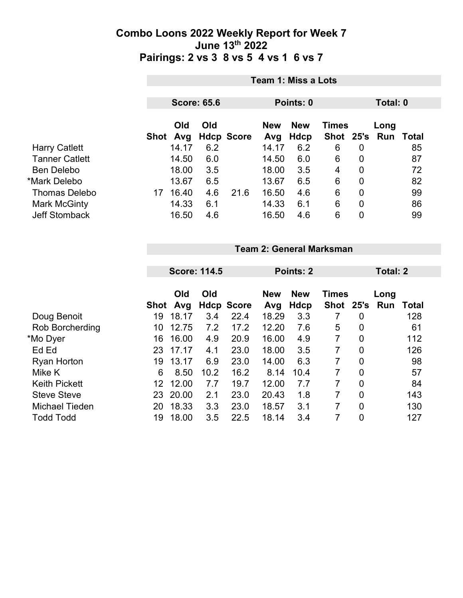|                       | <b>Team 1: Miss a Lots</b> |            |     |                   |                   |                           |              |                |                             |    |
|-----------------------|----------------------------|------------|-----|-------------------|-------------------|---------------------------|--------------|----------------|-----------------------------|----|
|                       | <b>Score: 65.6</b>         |            |     |                   | Points: 0         |                           |              | Total: 0       |                             |    |
|                       | Shot                       | Old<br>Avg | Old | <b>Hdcp Score</b> | <b>New</b><br>Avg | <b>New</b><br><b>Hdcp</b> | <b>Times</b> |                | Long<br>Shot 25's Run Total |    |
| <b>Harry Catlett</b>  |                            | 14.17      | 6.2 |                   | 14.17             | 6.2                       | 6            | 0              |                             | 85 |
| <b>Tanner Catlett</b> |                            | 14.50      | 6.0 |                   | 14.50             | 6.0                       | 6            | 0              |                             | 87 |
| <b>Ben Delebo</b>     |                            | 18.00      | 3.5 |                   | 18.00             | 3.5                       | 4            | $\overline{0}$ |                             | 72 |
| *Mark Delebo          |                            | 13.67      | 6.5 |                   | 13.67             | 6.5                       | 6            | 0              |                             | 82 |
| <b>Thomas Delebo</b>  | 17                         | 16.40      | 4.6 | 21.6              | 16.50             | 4.6                       | 6            | $\overline{0}$ |                             | 99 |
| Mark McGinty          |                            | 14.33      | 6.1 |                   | 14.33             | 6.1                       | 6            | $\mathbf 0$    |                             | 86 |
| <b>Jeff Stomback</b>  |                            | 16.50      | 4.6 |                   | 16.50             | 4.6                       | 6            | 0              |                             | 99 |

|  | <b>Team 2: General Marksman</b> |
|--|---------------------------------|
|  |                                 |

|                       |      | <b>Score: 114.5</b> |      |                   | Points: 2         |                    |                           | <b>Total: 2</b> |             |       |
|-----------------------|------|---------------------|------|-------------------|-------------------|--------------------|---------------------------|-----------------|-------------|-------|
|                       | Shot | Old<br>Avg          | Old  | <b>Hdcp Score</b> | <b>New</b><br>Avg | <b>New</b><br>Hdcp | <b>Times</b><br>Shot 25's |                 | Long<br>Run | Total |
| Doug Benoit           | 19   | 18.17               | 3.4  | 22.4              | 18.29             | 3.3                |                           | 0               |             | 128   |
| Rob Borcherding       | 10   | 12.75               | 7.2  | 17.2              | 12.20             | 7.6                | 5                         | 0               |             | 61    |
| *Mo Dyer              | 16   | 16.00               | 4.9  | 20.9              | 16.00             | 4.9                | $\overline{7}$            | $\overline{0}$  |             | 112   |
| Ed Ed                 | 23   | 17.17               | 4.1  | 23.0              | 18.00             | 3.5                | 7                         | $\overline{0}$  |             | 126   |
| <b>Ryan Horton</b>    | 19   | 13.17               | 6.9  | 23.0              | 14.00             | 6.3                | 7                         | $\overline{0}$  |             | 98    |
| Mike K                | 6    | 8.50                | 10.2 | 16.2              | 8.14              | 10.4               | 7                         | $\overline{0}$  |             | 57    |
| <b>Keith Pickett</b>  | 12.  | 12.00               | 7.7  | 19.7              | 12.00             | 7.7                | $\overline{7}$            | $\overline{0}$  |             | 84    |
| <b>Steve Steve</b>    | 23   | 20.00               | 2.1  | 23.0              | 20.43             | 1.8                | 7                         | $\overline{0}$  |             | 143   |
| <b>Michael Tieden</b> | 20   | 18.33               | 3.3  | 23.0              | 18.57             | 3.1                | 7                         | $\overline{0}$  |             | 130   |
| <b>Todd Todd</b>      | 19   | 18.00               | 3.5  | 22.5              | 18.14             | 3.4                | 7                         | $\overline{0}$  |             | 127   |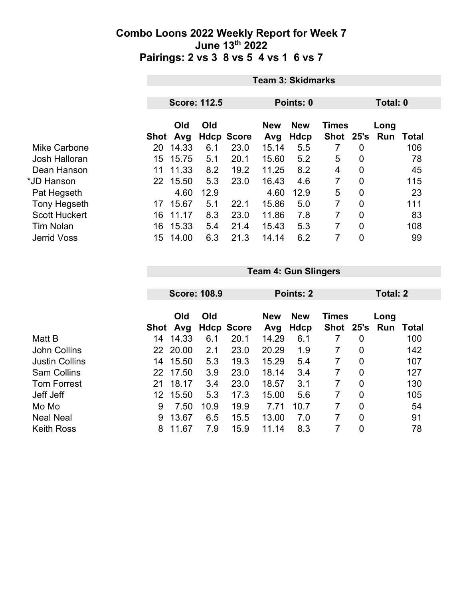|                      | <b>Team 3: Skidmarks</b> |       |      |                   |            |             |                |                |          |       |  |
|----------------------|--------------------------|-------|------|-------------------|------------|-------------|----------------|----------------|----------|-------|--|
|                      |                          |       |      |                   |            |             |                |                |          |       |  |
|                      | <b>Score: 112.5</b>      |       |      | Points: 0         |            |             |                | Total: 0       |          |       |  |
|                      |                          | Old   | Old  |                   | <b>New</b> | <b>New</b>  | <b>Times</b>   |                | Long     |       |  |
|                      | Shot                     | Avg   |      | <b>Hdcp Score</b> | Avg        | <b>Hdcp</b> | <b>Shot</b>    |                | 25's Run | Total |  |
| Mike Carbone         | 20                       | 14.33 | 6.1  | 23.0              | 15.14      | 5.5         |                | 0              |          | 106   |  |
| Josh Halloran        | 15                       | 15.75 | 5.1  | 20.1              | 15.60      | 5.2         | 5              | 0              |          | 78    |  |
| Dean Hanson          | 11                       | 11.33 | 8.2  | 19.2              | 11.25      | 8.2         | 4              | $\mathbf 0$    |          | 45    |  |
| *JD Hanson           | 22                       | 15.50 | 5.3  | 23.0              | 16.43      | 4.6         | $\overline{7}$ | $\overline{0}$ |          | 115   |  |
| Pat Hegseth          |                          | 4.60  | 12.9 |                   | 4.60       | 12.9        | 5              | 0              |          | 23    |  |
| <b>Tony Hegseth</b>  | 17                       | 15.67 | 5.1  | 22.1              | 15.86      | 5.0         | 7              | $\overline{0}$ |          | 111   |  |
| <b>Scott Huckert</b> | 16                       | 11.17 | 8.3  | 23.0              | 11.86      | 7.8         | 7              | 0              |          | 83    |  |
| <b>Tim Nolan</b>     | 16                       | 15.33 | 5.4  | 21.4              | 15.43      | 5.3         | 7              | $\overline{0}$ |          | 108   |  |
| <b>Jerrid Voss</b>   | 15                       | 14.00 | 6.3  | 21.3              | 14.14      | 6.2         | 7              | 0              |          | 99    |  |

|                       |            | <b>Score: 108.9</b> |      |                   |            | Points: 2    |           |                | Total: 2 |       |  |
|-----------------------|------------|---------------------|------|-------------------|------------|--------------|-----------|----------------|----------|-------|--|
|                       |            |                     |      |                   |            |              |           |                |          |       |  |
|                       | Old<br>Old |                     |      | <b>New</b>        | <b>New</b> | <b>Times</b> |           | Long           |          |       |  |
|                       | Shot       | Avg                 |      | <b>Hdcp Score</b> | Avg        | Hdcp         | Shot 25's |                | Run      | Total |  |
| Matt B                | 14         | 14.33               | 6.1  | 20.1              | 14.29      | 6.1          |           | 0              |          | 100   |  |
| <b>John Collins</b>   | 22         | 20.00               | 2.1  | 23.0              | 20.29      | 1.9          | 7         | $\overline{0}$ |          | 142   |  |
| <b>Justin Collins</b> | 14         | 15.50               | 5.3  | 19.3              | 15.29      | 5.4          | 7         | $\overline{0}$ |          | 107   |  |
| <b>Sam Collins</b>    | 22         | 17.50               | 3.9  | 23.0              | 18.14      | 3.4          | 7         | $\overline{0}$ |          | 127   |  |
| <b>Tom Forrest</b>    | 21         | 18.17               | 3.4  | 23.0              | 18.57      | 3.1          | 7         | $\overline{0}$ |          | 130   |  |
| Jeff Jeff             | 12         | 15.50               | 5.3  | 17.3              | 15.00      | 5.6          | 7         | $\overline{0}$ |          | 105   |  |
| Mo Mo                 | 9          | 7.50                | 10.9 | 19.9              | 7.71       | 10.7         | 7         | $\overline{0}$ |          | 54    |  |
| <b>Neal Neal</b>      | 9          | 13.67               | 6.5  | 15.5              | 13.00      | 7.0          | 7         | $\overline{0}$ |          | 91    |  |
| <b>Keith Ross</b>     | 8          | 11.67               | 7.9  | 15.9              | 11.14      | 8.3          |           | 0              |          | 78    |  |

**Team 4: Gun Slingers**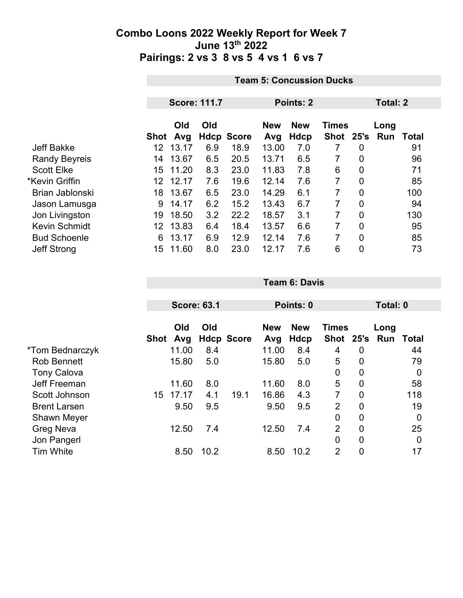|                      |      | <b>Team 5: Concussion Ducks</b> |     |                   |                   |                    |                           |                |                    |       |  |
|----------------------|------|---------------------------------|-----|-------------------|-------------------|--------------------|---------------------------|----------------|--------------------|-------|--|
|                      |      |                                 |     |                   |                   |                    |                           |                |                    |       |  |
|                      |      | <b>Score: 111.7</b>             |     |                   |                   | Points: 2          |                           | Total: 2       |                    |       |  |
|                      | Shot | Old<br>Avg                      | Old | <b>Hdcp Score</b> | <b>New</b><br>Avg | <b>New</b><br>Hdcp | <b>Times</b><br>Shot 25's |                | Long<br><b>Run</b> | Total |  |
| <b>Jeff Bakke</b>    | 12   | 13.17                           | 6.9 | 18.9              | 13.00             | 7.0                | 7                         | 0              |                    | 91    |  |
| <b>Randy Beyreis</b> | 14   | 13.67                           | 6.5 | 20.5              | 13.71             | 6.5                | 7                         | $\overline{0}$ |                    | 96    |  |
| <b>Scott Elke</b>    | 15   | 11.20                           | 8.3 | 23.0              | 11.83             | 7.8                | 6                         | 0              |                    | 71    |  |
| *Kevin Griffin       | 12.  | 12.17                           | 7.6 | 19.6              | 12.14             | 7.6                | 7                         | 0              |                    | 85    |  |
| Brian Jablonski      | 18   | 13.67                           | 6.5 | 23.0              | 14.29             | 6.1                | 7                         | $\overline{0}$ |                    | 100   |  |
| Jason Lamusga        | 9    | 14.17                           | 6.2 | 15.2              | 13.43             | 6.7                | 7                         | 0              |                    | 94    |  |
| Jon Livingston       | 19   | 18.50                           | 3.2 | 22.2              | 18.57             | 3.1                | 7                         | 0              |                    | 130   |  |
| <b>Kevin Schmidt</b> | 12.  | 13.83                           | 6.4 | 18.4              | 13.57             | 6.6                | 7                         | $\overline{0}$ |                    | 95    |  |
| <b>Bud Schoenle</b>  | 6    | 13.17                           | 6.9 | 12.9              | 12.14             | 7.6                | 7                         | 0              |                    | 85    |  |
| <b>Jeff Strong</b>   | 15   | 11.60                           | 8.0 | 23.0              | 12.17             | 7.6                | 6                         | 0              |                    | 73    |  |

|                     |      | <b>Score: 63.1</b> |      |                   |            | Points: 0  |                |                | Total: 0 |                  |  |
|---------------------|------|--------------------|------|-------------------|------------|------------|----------------|----------------|----------|------------------|--|
|                     |      |                    |      |                   |            |            |                |                |          |                  |  |
|                     |      | Old                | Old  |                   | <b>New</b> | <b>New</b> | <b>Times</b>   |                | Long     |                  |  |
|                     | Shot | Avg                |      | <b>Hdcp Score</b> | Avg        | Hdcp       | Shot 25's      |                |          | <b>Run Total</b> |  |
| *Tom Bednarczyk     |      | 11.00              | 8.4  |                   | 11.00      | 8.4        | 4              | 0              |          | 44               |  |
| <b>Rob Bennett</b>  |      | 15.80              | 5.0  |                   | 15.80      | 5.0        | 5              | 0              |          | 79               |  |
| <b>Tony Calova</b>  |      |                    |      |                   |            |            | 0              | 0              |          | 0                |  |
| Jeff Freeman        |      | 11.60              | 8.0  |                   | 11.60      | 8.0        | 5              | 0              |          | 58               |  |
| Scott Johnson       | 15   | 17.17              | 4.1  | 19.1              | 16.86      | 4.3        | $\overline{7}$ | $\overline{0}$ |          | 118              |  |
| <b>Brent Larsen</b> |      | 9.50               | 9.5  |                   | 9.50       | 9.5        | $\overline{2}$ | $\overline{0}$ |          | 19               |  |
| <b>Shawn Meyer</b>  |      |                    |      |                   |            |            | $\overline{0}$ | $\overline{0}$ |          | 0                |  |
| <b>Greg Neva</b>    |      | 12.50              | 7.4  |                   | 12.50      | 7.4        | $\overline{2}$ | 0              |          | 25               |  |
| Jon Pangerl         |      |                    |      |                   |            |            | 0              | $\mathbf 0$    |          | $\mathbf 0$      |  |
| <b>Tim White</b>    |      | 8.50               | 10.2 |                   | 8.50       | 10.2       | $\overline{2}$ | 0              |          | 17               |  |

**Team 6: Davis**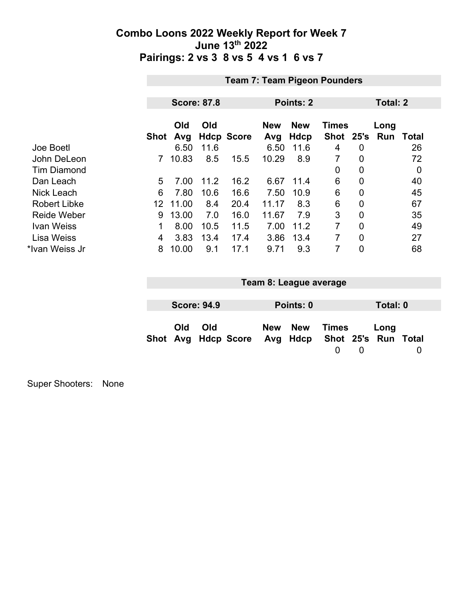|                     | <b>Team 7: Team Pigeon Pounders</b> |            |                    |                   |                   |                    |                           |                  |                    |              |
|---------------------|-------------------------------------|------------|--------------------|-------------------|-------------------|--------------------|---------------------------|------------------|--------------------|--------------|
|                     |                                     |            |                    |                   |                   |                    |                           |                  |                    |              |
|                     |                                     |            | <b>Score: 87.8</b> |                   | Points: 2         |                    |                           |                  |                    | Total: 2     |
|                     | <b>Shot</b>                         | Old<br>Avg | Old                | <b>Hdcp Score</b> | <b>New</b><br>Avg | <b>New</b><br>Hdcp | <b>Times</b><br>Shot 25's |                  | Long<br><b>Run</b> | <b>Total</b> |
| Joe Boetl           |                                     | 6.50       | 11.6               |                   | 6.50              | 11.6               | 4                         | $\boldsymbol{0}$ |                    | 26           |
| John DeLeon         | 7                                   | 10.83      | 8.5                | 15.5              | 10.29             | 8.9                | 7                         | 0                |                    | 72           |
| <b>Tim Diamond</b>  |                                     |            |                    |                   |                   |                    | 0                         | $\overline{0}$   |                    | 0            |
| Dan Leach           | 5                                   | 7.00       | 11.2               | 16.2              | 6.67              | 11.4               | 6                         | $\overline{0}$   |                    | 40           |
| <b>Nick Leach</b>   | 6                                   | 7.80       | 10.6               | 16.6              | 7.50              | 10.9               | 6                         | $\overline{0}$   |                    | 45           |
| <b>Robert Libke</b> | 12                                  | 11.00      | 8.4                | 20.4              | 11.17             | 8.3                | 6                         | $\overline{0}$   |                    | 67           |
| <b>Reide Weber</b>  | 9                                   | 13.00      | 7.0                | 16.0              | 11.67             | 7.9                | 3                         | $\mathbf 0$      |                    | 35           |
| <b>Ivan Weiss</b>   | 1                                   | 8.00       | 10.5               | 11.5              | 7.00              | 11.2               | 7                         | 0                |                    | 49           |
| Lisa Weiss          | 4                                   | 3.83       | 13.4               | 17.4              | 3.86              | 13.4               | 7                         | $\overline{0}$   |                    | 27           |
| *Ivan Weiss Jr      | 8                                   | 10.00      | 9.1                | 17.1              | 9.71              | 9.3                | 7                         | $\mathbf 0$      |                    | 68           |

| Team 8: League average |                    |                                                  |  |           |       |  |          |  |
|------------------------|--------------------|--------------------------------------------------|--|-----------|-------|--|----------|--|
|                        |                    |                                                  |  |           |       |  |          |  |
|                        | <b>Score: 94.9</b> |                                                  |  | Points: 0 |       |  | Total: 0 |  |
| <b>Old</b>             | Old                | Shot Avg Hdcp Score Avg Hdcp Shot 25's Run Total |  | New New   | Times |  | Long     |  |

Super Shooters: None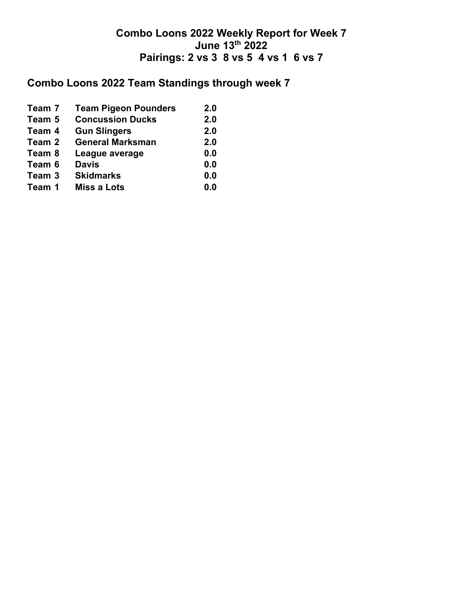## **Combo Loons 2022 Team Standings through week 7**

| Team 7 | <b>Team Pigeon Pounders</b> | 2.0 |
|--------|-----------------------------|-----|
| Team 5 | <b>Concussion Ducks</b>     | 2.0 |
| Team 4 | <b>Gun Slingers</b>         | 2.0 |
| Team 2 | <b>General Marksman</b>     | 2.0 |
| Team 8 | League average              | 0.0 |
| Team 6 | <b>Davis</b>                | 0.0 |
| Team 3 | <b>Skidmarks</b>            | 0.0 |
| Team 1 | <b>Miss a Lots</b>          | 0.0 |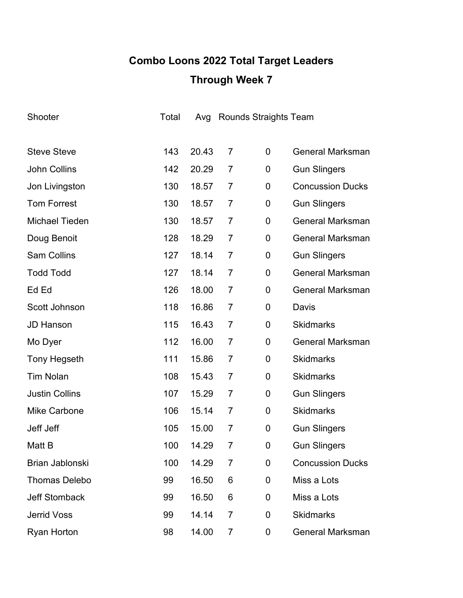# **Combo Loons 2022 Total Target Leaders Through Week 7**

| Shooter                | Total | Avg   | <b>Rounds Straights Team</b> |             |                         |
|------------------------|-------|-------|------------------------------|-------------|-------------------------|
|                        |       |       |                              |             |                         |
| <b>Steve Steve</b>     | 143   | 20.43 | $\overline{7}$               | 0           | <b>General Marksman</b> |
| <b>John Collins</b>    | 142   | 20.29 | 7                            | 0           | <b>Gun Slingers</b>     |
| Jon Livingston         | 130   | 18.57 | 7                            | 0           | <b>Concussion Ducks</b> |
| <b>Tom Forrest</b>     | 130   | 18.57 | 7                            | 0           | <b>Gun Slingers</b>     |
| <b>Michael Tieden</b>  | 130   | 18.57 | $\overline{7}$               | 0           | <b>General Marksman</b> |
| Doug Benoit            | 128   | 18.29 | $\overline{7}$               | 0           | <b>General Marksman</b> |
| <b>Sam Collins</b>     | 127   | 18.14 | 7                            | 0           | <b>Gun Slingers</b>     |
| <b>Todd Todd</b>       | 127   | 18.14 | $\overline{7}$               | 0           | <b>General Marksman</b> |
| Ed Ed                  | 126   | 18.00 | $\overline{7}$               | 0           | <b>General Marksman</b> |
| Scott Johnson          | 118   | 16.86 | $\overline{7}$               | 0           | Davis                   |
| <b>JD Hanson</b>       | 115   | 16.43 | $\overline{7}$               | 0           | <b>Skidmarks</b>        |
| Mo Dyer                | 112   | 16.00 | $\overline{7}$               | 0           | <b>General Marksman</b> |
| <b>Tony Hegseth</b>    | 111   | 15.86 | 7                            | 0           | <b>Skidmarks</b>        |
| <b>Tim Nolan</b>       | 108   | 15.43 | $\overline{7}$               | 0           | <b>Skidmarks</b>        |
| <b>Justin Collins</b>  | 107   | 15.29 | 7                            | 0           | <b>Gun Slingers</b>     |
| <b>Mike Carbone</b>    | 106   | 15.14 | $\overline{7}$               | 0           | <b>Skidmarks</b>        |
| Jeff Jeff              | 105   | 15.00 | $\overline{7}$               | 0           | <b>Gun Slingers</b>     |
| Matt B                 | 100   | 14.29 | 7                            | $\mathbf 0$ | <b>Gun Slingers</b>     |
| <b>Brian Jablonski</b> | 100   | 14.29 | 7                            | 0           | <b>Concussion Ducks</b> |
| <b>Thomas Delebo</b>   | 99    | 16.50 | 6                            | 0           | Miss a Lots             |
| <b>Jeff Stomback</b>   | 99    | 16.50 | 6                            | 0           | Miss a Lots             |
| <b>Jerrid Voss</b>     | 99    | 14.14 | $\overline{7}$               | 0           | <b>Skidmarks</b>        |
| <b>Ryan Horton</b>     | 98    | 14.00 | 7                            | 0           | <b>General Marksman</b> |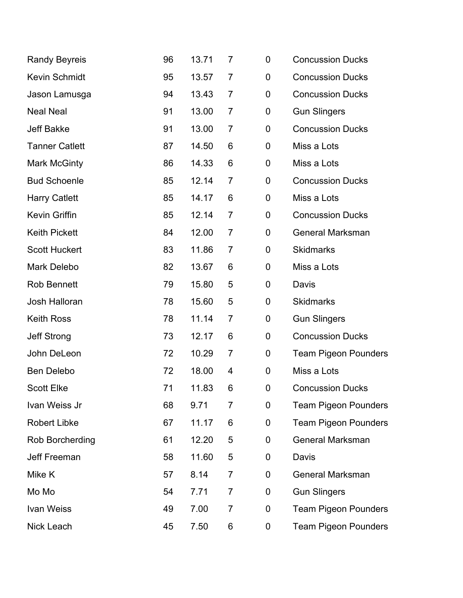| <b>Randy Beyreis</b>  | 96 | 13.71 | 7              | 0                | <b>Concussion Ducks</b>     |
|-----------------------|----|-------|----------------|------------------|-----------------------------|
| <b>Kevin Schmidt</b>  | 95 | 13.57 | 7              | $\boldsymbol{0}$ | <b>Concussion Ducks</b>     |
| Jason Lamusga         | 94 | 13.43 | 7              | 0                | <b>Concussion Ducks</b>     |
| <b>Neal Neal</b>      | 91 | 13.00 | $\overline{7}$ | 0                | <b>Gun Slingers</b>         |
| <b>Jeff Bakke</b>     | 91 | 13.00 | 7              | $\mathbf 0$      | <b>Concussion Ducks</b>     |
| <b>Tanner Catlett</b> | 87 | 14.50 | 6              | 0                | Miss a Lots                 |
| <b>Mark McGinty</b>   | 86 | 14.33 | 6              | $\mathbf 0$      | Miss a Lots                 |
| <b>Bud Schoenle</b>   | 85 | 12.14 | 7              | 0                | <b>Concussion Ducks</b>     |
| <b>Harry Catlett</b>  | 85 | 14.17 | 6              | $\mathbf 0$      | Miss a Lots                 |
| Kevin Griffin         | 85 | 12.14 | $\overline{7}$ | $\mathbf 0$      | <b>Concussion Ducks</b>     |
| <b>Keith Pickett</b>  | 84 | 12.00 | $\overline{7}$ | 0                | <b>General Marksman</b>     |
| <b>Scott Huckert</b>  | 83 | 11.86 | 7              | 0                | <b>Skidmarks</b>            |
| Mark Delebo           | 82 | 13.67 | 6              | $\mathbf 0$      | Miss a Lots                 |
| <b>Rob Bennett</b>    | 79 | 15.80 | 5              | 0                | Davis                       |
| Josh Halloran         | 78 | 15.60 | 5              | 0                | <b>Skidmarks</b>            |
| <b>Keith Ross</b>     | 78 | 11.14 | $\overline{7}$ | $\pmb{0}$        | <b>Gun Slingers</b>         |
| <b>Jeff Strong</b>    | 73 | 12.17 | 6              | 0                | <b>Concussion Ducks</b>     |
| John DeLeon           | 72 | 10.29 | $\overline{7}$ | 0                | <b>Team Pigeon Pounders</b> |
| <b>Ben Delebo</b>     | 72 | 18.00 | 4              | $\mathbf 0$      | Miss a Lots                 |
| <b>Scott Elke</b>     | 71 | 11.83 | 6              | 0                | <b>Concussion Ducks</b>     |
| Ivan Weiss Jr         | 68 | 9.71  | 7              | $\mathbf 0$      | <b>Team Pigeon Pounders</b> |
| <b>Robert Libke</b>   | 67 | 11.17 | 6              | 0                | <b>Team Pigeon Pounders</b> |
| Rob Borcherding       | 61 | 12.20 | 5              | $\boldsymbol{0}$ | <b>General Marksman</b>     |
| <b>Jeff Freeman</b>   | 58 | 11.60 | 5              | $\boldsymbol{0}$ | Davis                       |
| Mike K                | 57 | 8.14  | 7              | 0                | <b>General Marksman</b>     |
| Mo Mo                 | 54 | 7.71  | $\overline{7}$ | $\mathbf 0$      | <b>Gun Slingers</b>         |
| <b>Ivan Weiss</b>     | 49 | 7.00  | 7              | $\mathbf 0$      | <b>Team Pigeon Pounders</b> |
| Nick Leach            | 45 | 7.50  | 6              | 0                | <b>Team Pigeon Pounders</b> |